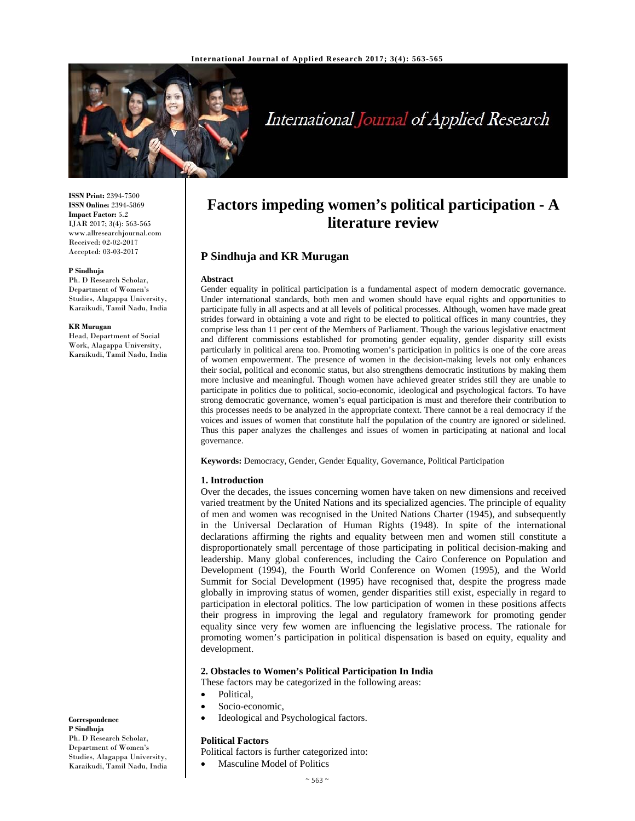

# International Journal of Applied Research

**ISSN Print:** 2394-7500 **ISSN Online:** 2394-5869 **Impact Factor:** 5.2 IJAR 2017; 3(4): 563-565 www.allresearchjournal.com Received: 02-02-2017 Accepted: 03-03-2017

#### **P Sindhuja**

Ph. D Research Scholar, Department of Women's Studies, Alagappa University, Karaikudi, Tamil Nadu, India

#### **KR Murugan**

Head, Department of Social Work, Alagappa University, Karaikudi, Tamil Nadu, India

#### **Correspondence P Sindhuja**  Ph. D Research Scholar, Department of Women's Studies, Alagappa University, Karaikudi, Tamil Nadu, India

## **Factors impeding women's political participation - A literature review**

## **P Sindhuja and KR Murugan**

#### **Abstract**

Gender equality in political participation is a fundamental aspect of modern democratic governance. Under international standards, both men and women should have equal rights and opportunities to participate fully in all aspects and at all levels of political processes. Although, women have made great strides forward in obtaining a vote and right to be elected to political offices in many countries, they comprise less than 11 per cent of the Members of Parliament. Though the various legislative enactment and different commissions established for promoting gender equality, gender disparity still exists particularly in political arena too. Promoting women's participation in politics is one of the core areas of women empowerment. The presence of women in the decision-making levels not only enhances their social, political and economic status, but also strengthens democratic institutions by making them more inclusive and meaningful. Though women have achieved greater strides still they are unable to participate in politics due to political, socio-economic, ideological and psychological factors. To have strong democratic governance, women's equal participation is must and therefore their contribution to this processes needs to be analyzed in the appropriate context. There cannot be a real democracy if the voices and issues of women that constitute half the population of the country are ignored or sidelined. Thus this paper analyzes the challenges and issues of women in participating at national and local governance.

**Keywords:** Democracy, Gender, Gender Equality, Governance, Political Participation

#### **1. Introduction**

Over the decades, the issues concerning women have taken on new dimensions and received varied treatment by the United Nations and its specialized agencies. The principle of equality of men and women was recognised in the United Nations Charter (1945), and subsequently in the Universal Declaration of Human Rights (1948). In spite of the international declarations affirming the rights and equality between men and women still constitute a disproportionately small percentage of those participating in political decision-making and leadership. Many global conferences, including the Cairo Conference on Population and Development (1994), the Fourth World Conference on Women (1995), and the World Summit for Social Development (1995) have recognised that, despite the progress made globally in improving status of women, gender disparities still exist, especially in regard to participation in electoral politics. The low participation of women in these positions affects their progress in improving the legal and regulatory framework for promoting gender equality since very few women are influencing the legislative process. The rationale for promoting women's participation in political dispensation is based on equity, equality and development.

#### **2. Obstacles to Women's Political Participation In India**

These factors may be categorized in the following areas:

- **Political**
- Socio-economic,
- Ideological and Psychological factors.

#### **Political Factors**

- Political factors is further categorized into:
	- Masculine Model of Politics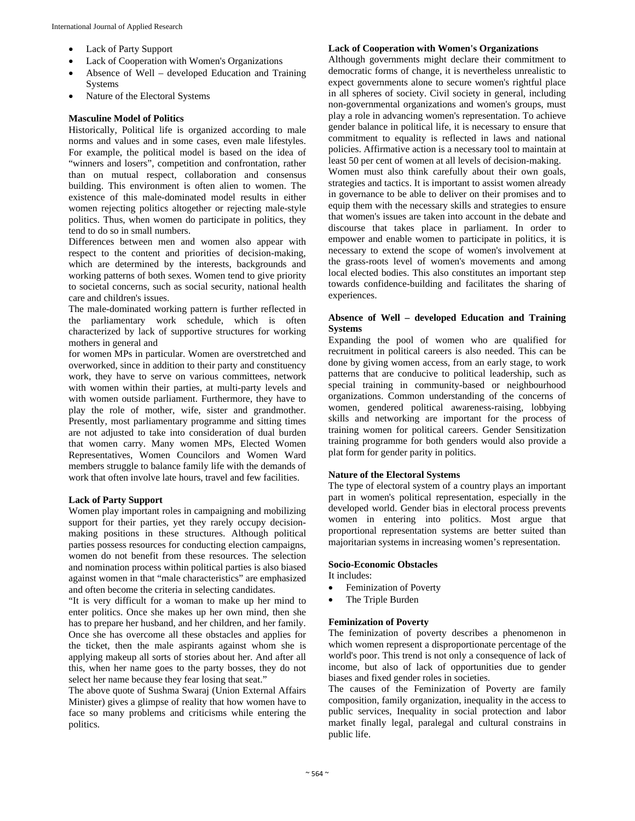- Lack of Party Support
- Lack of Cooperation with Women's Organizations
- Absence of Well developed Education and Training Systems
- Nature of the Electoral Systems

## **Masculine Model of Politics**

Historically, Political life is organized according to male norms and values and in some cases, even male lifestyles. For example, the political model is based on the idea of "winners and losers", competition and confrontation, rather than on mutual respect, collaboration and consensus building. This environment is often alien to women. The existence of this male-dominated model results in either women rejecting politics altogether or rejecting male-style politics. Thus, when women do participate in politics, they tend to do so in small numbers.

Differences between men and women also appear with respect to the content and priorities of decision-making, which are determined by the interests, backgrounds and working patterns of both sexes. Women tend to give priority to societal concerns, such as social security, national health care and children's issues.

The male-dominated working pattern is further reflected in the parliamentary work schedule, which is often characterized by lack of supportive structures for working mothers in general and

for women MPs in particular. Women are overstretched and overworked, since in addition to their party and constituency work, they have to serve on various committees, network with women within their parties, at multi-party levels and with women outside parliament. Furthermore, they have to play the role of mother, wife, sister and grandmother. Presently, most parliamentary programme and sitting times are not adjusted to take into consideration of dual burden that women carry. Many women MPs, Elected Women Representatives, Women Councilors and Women Ward members struggle to balance family life with the demands of work that often involve late hours, travel and few facilities.

## **Lack of Party Support**

Women play important roles in campaigning and mobilizing support for their parties, yet they rarely occupy decisionmaking positions in these structures. Although political parties possess resources for conducting election campaigns, women do not benefit from these resources. The selection and nomination process within political parties is also biased against women in that "male characteristics" are emphasized and often become the criteria in selecting candidates.

"It is very difficult for a woman to make up her mind to enter politics. Once she makes up her own mind, then she has to prepare her husband, and her children, and her family. Once she has overcome all these obstacles and applies for the ticket, then the male aspirants against whom she is applying makeup all sorts of stories about her. And after all this, when her name goes to the party bosses, they do not select her name because they fear losing that seat."

The above quote of Sushma Swaraj (Union External Affairs Minister) gives a glimpse of reality that how women have to face so many problems and criticisms while entering the politics.

#### **Lack of Cooperation with Women's Organizations**

Although governments might declare their commitment to democratic forms of change, it is nevertheless unrealistic to expect governments alone to secure women's rightful place in all spheres of society. Civil society in general, including non-governmental organizations and women's groups, must play a role in advancing women's representation. To achieve gender balance in political life, it is necessary to ensure that commitment to equality is reflected in laws and national policies. Affirmative action is a necessary tool to maintain at least 50 per cent of women at all levels of decision-making. Women must also think carefully about their own goals, strategies and tactics. It is important to assist women already in governance to be able to deliver on their promises and to equip them with the necessary skills and strategies to ensure that women's issues are taken into account in the debate and discourse that takes place in parliament. In order to empower and enable women to participate in politics, it is necessary to extend the scope of women's involvement at the grass-roots level of women's movements and among local elected bodies. This also constitutes an important step towards confidence-building and facilitates the sharing of experiences.

#### **Absence of Well – developed Education and Training Systems**

Expanding the pool of women who are qualified for recruitment in political careers is also needed. This can be done by giving women access, from an early stage, to work patterns that are conducive to political leadership, such as special training in community-based or neighbourhood organizations. Common understanding of the concerns of women, gendered political awareness-raising, lobbying skills and networking are important for the process of training women for political careers. Gender Sensitization training programme for both genders would also provide a plat form for gender parity in politics.

### **Nature of the Electoral Systems**

The type of electoral system of a country plays an important part in women's political representation, especially in the developed world. Gender bias in electoral process prevents women in entering into politics. Most argue that proportional representation systems are better suited than majoritarian systems in increasing women's representation.

### **Socio-Economic Obstacles**

It includes:

- Feminization of Poverty
- The Triple Burden

## **Feminization of Poverty**

The feminization of poverty describes a phenomenon in which women represent a disproportionate percentage of the world's poor. This trend is not only a consequence of lack of income, but also of lack of opportunities due to gender biases and fixed gender roles in societies.

The causes of the Feminization of Poverty are family composition, family organization, inequality in the access to public services, Inequality in social protection and labor market finally legal, paralegal and cultural constrains in public life.